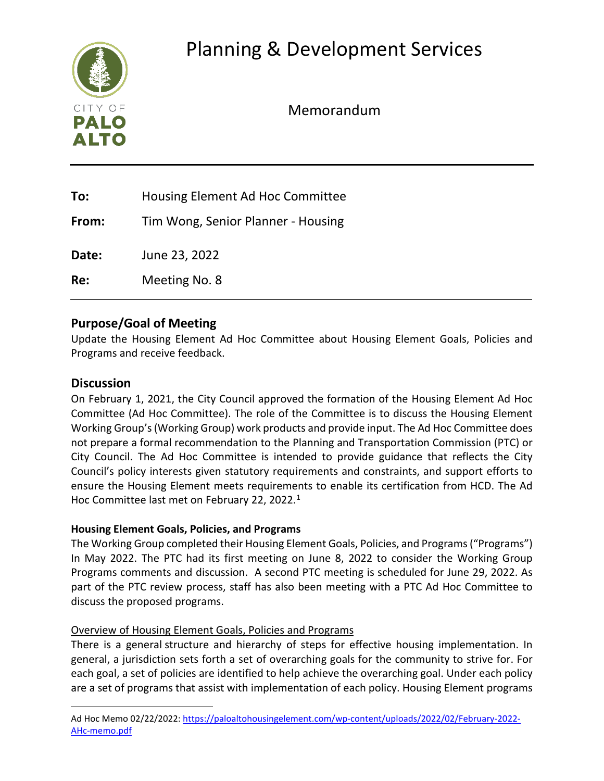

Memorandum

| To:          | Housing Element Ad Hoc Committee   |
|--------------|------------------------------------|
| From:        | Tim Wong, Senior Planner - Housing |
| <b>Date:</b> | June 23, 2022                      |
| Re:          | Meeting No. 8                      |
|              |                                    |

#### **Purpose/Goal of Meeting**

Update the Housing Element Ad Hoc Committee about Housing Element Goals, Policies and Programs and receive feedback.

#### **Discussion**

On February 1, 2021, the City Council approved the formation of the Housing Element Ad Hoc Committee (Ad Hoc Committee). The role of the Committee is to discuss the Housing Element Working Group's (Working Group) work products and provide input. The Ad Hoc Committee does not prepare a formal recommendation to the Planning and Transportation Commission (PTC) or City Council. The Ad Hoc Committee is intended to provide guidance that reflects the City Council's policy interests given statutory requirements and constraints, and support efforts to ensure the Housing Element meets requirements to enable its certification from HCD. The Ad Hoc Committee last met on February 22, 2022.<sup>[1](#page-0-0)</sup>

#### **Housing Element Goals, Policies, and Programs**

The Working Group completed their Housing Element Goals, Policies, and Programs("Programs") In May 2022. The PTC had its first meeting on June 8, 2022 to consider the Working Group Programs comments and discussion. A second PTC meeting is scheduled for June 29, 2022. As part of the PTC review process, staff has also been meeting with a PTC Ad Hoc Committee to discuss the proposed programs.

#### Overview of Housing Element Goals, Policies and Programs

There is a general structure and hierarchy of steps for effective housing implementation. In general, a jurisdiction sets forth a set of overarching goals for the community to strive for. For each goal, a set of policies are identified to help achieve the overarching goal. Under each policy are a set of programs that assist with implementation of each policy. Housing Element programs

<span id="page-0-0"></span>Ad Hoc Memo 02/22/2022[: https://paloaltohousingelement.com/wp-content/uploads/2022/02/February-2022-](https://paloaltohousingelement.com/wp-content/uploads/2022/02/February-2022-AHc-memo.pdf) [AHc-memo.pdf](https://paloaltohousingelement.com/wp-content/uploads/2022/02/February-2022-AHc-memo.pdf)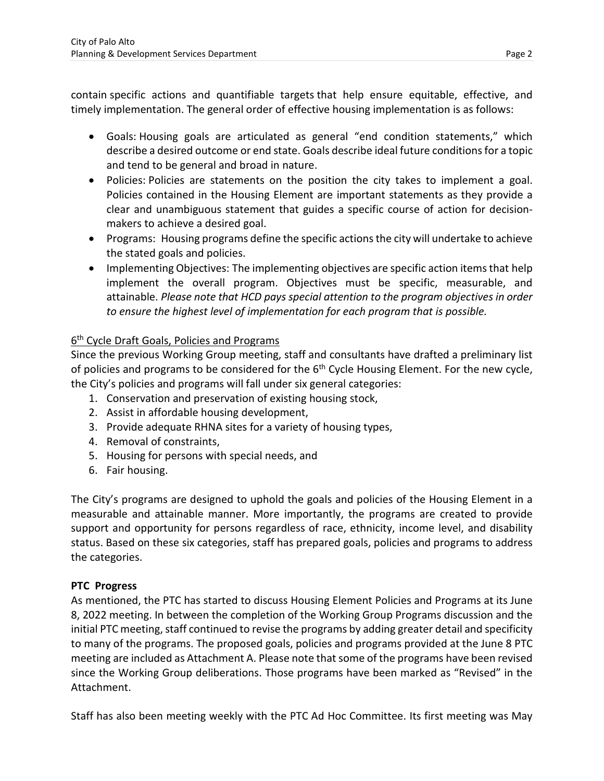contain specific actions and quantifiable targets that help ensure equitable, effective, and timely implementation. The general order of effective housing implementation is as follows:

- Goals: Housing goals are articulated as general "end condition statements," which describe a desired outcome or end state. Goals describe ideal future conditions for a topic and tend to be general and broad in nature.
- Policies: Policies are statements on the position the city takes to implement a goal. Policies contained in the Housing Element are important statements as they provide a clear and unambiguous statement that guides a specific course of action for decisionmakers to achieve a desired goal.
- Programs:  Housing programs define the specific actions the city will undertake to achieve the stated goals and policies.
- Implementing Objectives: The implementing objectives are specific action items that help implement the overall program. Objectives must be specific, measurable, and attainable. *Please note that HCD pays special attention to the program objectives in order to ensure the highest level of implementation for each program that is possible.*

#### 6<sup>th</sup> Cycle Draft Goals, Policies and Programs

Since the previous Working Group meeting, staff and consultants have drafted a preliminary list of policies and programs to be considered for the  $6<sup>th</sup>$  Cycle Housing Element. For the new cycle, the City's policies and programs will fall under six general categories:

- 1. Conservation and preservation of existing housing stock,
- 2. Assist in affordable housing development,
- 3. Provide adequate RHNA sites for a variety of housing types,
- 4. Removal of constraints,
- 5. Housing for persons with special needs, and
- 6. Fair housing.

The City's programs are designed to uphold the goals and policies of the Housing Element in a measurable and attainable manner. More importantly, the programs are created to provide support and opportunity for persons regardless of race, ethnicity, income level, and disability status. Based on these six categories, staff has prepared goals, policies and programs to address the categories.

#### **PTC Progress**

As mentioned, the PTC has started to discuss Housing Element Policies and Programs at its June 8, 2022 meeting. In between the completion of the Working Group Programs discussion and the initial PTC meeting, staff continued to revise the programs by adding greater detail and specificity to many of the programs. The proposed goals, policies and programs provided at the June 8 PTC meeting are included as Attachment A. Please note that some of the programs have been revised since the Working Group deliberations. Those programs have been marked as "Revised" in the Attachment.

Staff has also been meeting weekly with the PTC Ad Hoc Committee. Its first meeting was May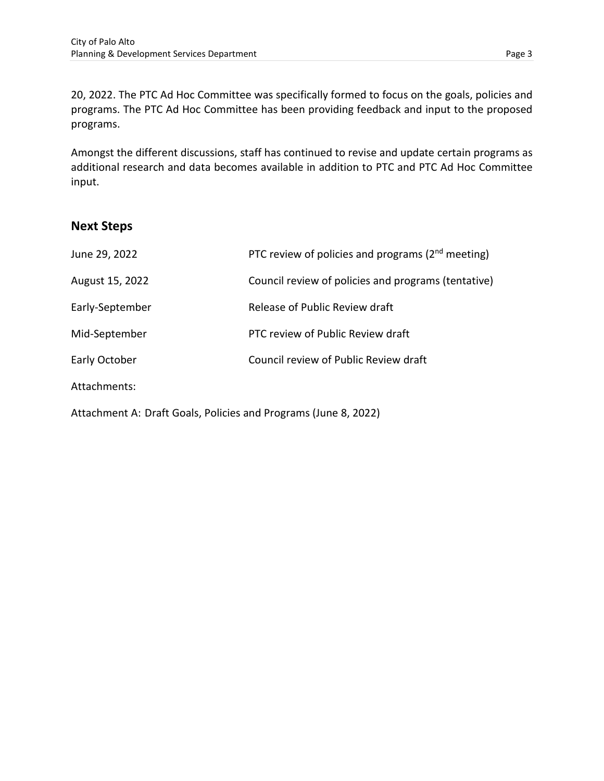20, 2022. The PTC Ad Hoc Committee was specifically formed to focus on the goals, policies and programs. The PTC Ad Hoc Committee has been providing feedback and input to the proposed programs.

Amongst the different discussions, staff has continued to revise and update certain programs as additional research and data becomes available in addition to PTC and PTC Ad Hoc Committee input.

#### **Next Steps**

| June 29, 2022   | PTC review of policies and programs ( $2nd$ meeting) |
|-----------------|------------------------------------------------------|
| August 15, 2022 | Council review of policies and programs (tentative)  |
| Early-September | Release of Public Review draft                       |
| Mid-September   | PTC review of Public Review draft                    |
| Early October   | Council review of Public Review draft                |
| Attachments:    |                                                      |
|                 |                                                      |

Attachment A: Draft Goals, Policies and Programs (June 8, 2022)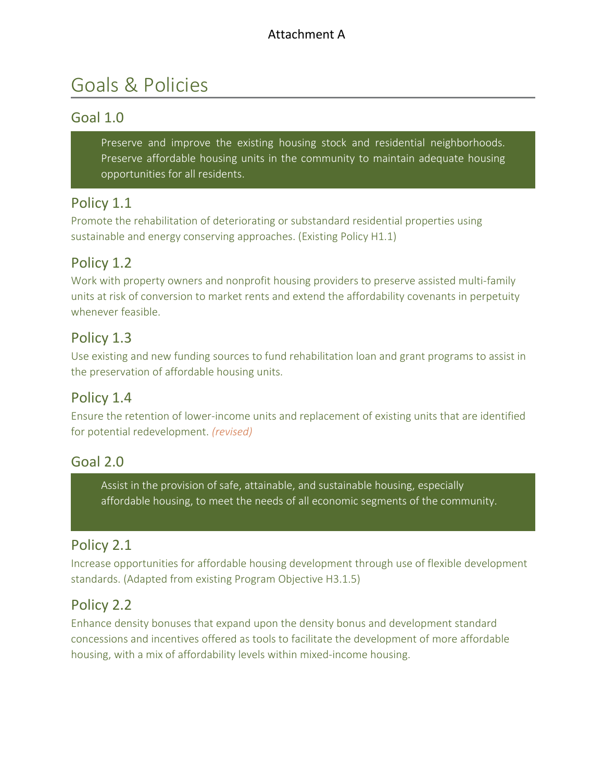#### Attachment A

# Goals & Policies

#### Goal 1.0

Preserve and improve the existing housing stock and residential neighborhoods. Preserve affordable housing units in the community to maintain adequate housing opportunities for all residents.

#### Policy 1.1

Promote the rehabilitation of deteriorating or substandard residential properties using sustainable and energy conserving approaches. (Existing Policy H1.1)

#### Policy 1.2

Work with property owners and nonprofit housing providers to preserve assisted multi-family units at risk of conversion to market rents and extend the affordability covenants in perpetuity whenever feasible.

#### Policy 1.3

Use existing and new funding sources to fund rehabilitation loan and grant programs to assist in the preservation of affordable housing units.

#### Policy 1.4

Ensure the retention of lower-income units and replacement of existing units that are identified for potential redevelopment. *(revised)*

#### Goal 2.0

Assist in the provision of safe, attainable, and sustainable housing, especially affordable housing, to meet the needs of all economic segments of the community.

#### Policy 2.1

Increase opportunities for affordable housing development through use of flexible development standards. (Adapted from existing Program Objective H3.1.5)

#### Policy 2.2

Enhance density bonuses that expand upon the density bonus and development standard concessions and incentives offered as tools to facilitate the development of more affordable housing, with a mix of affordability levels within mixed-income housing.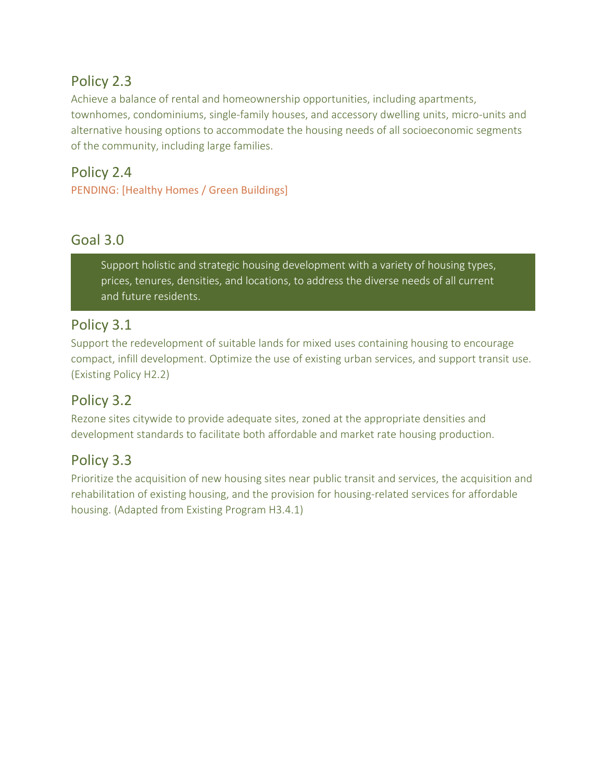## Policy 2.3

Achieve a balance of rental and homeownership opportunities, including apartments, townhomes, condominiums, single-family houses, and accessory dwelling units, micro-units and alternative housing options to accommodate the housing needs of all socioeconomic segments of the community, including large families.

# Policy 2.4

PENDING: [Healthy Homes / Green Buildings]

# Goal 3.0

Support holistic and strategic housing development with a variety of housing types, prices, tenures, densities, and locations, to address the diverse needs of all current and future residents.

#### Policy 3.1

Support the redevelopment of suitable lands for mixed uses containing housing to encourage compact, infill development. Optimize the use of existing urban services, and support transit use. (Existing Policy H2.2)

# Policy 3.2

Rezone sites citywide to provide adequate sites, zoned at the appropriate densities and development standards to facilitate both affordable and market rate housing production.

# Policy 3.3

Prioritize the acquisition of new housing sites near public transit and services, the acquisition and rehabilitation of existing housing, and the provision for housing-related services for affordable housing. (Adapted from Existing Program H3.4.1)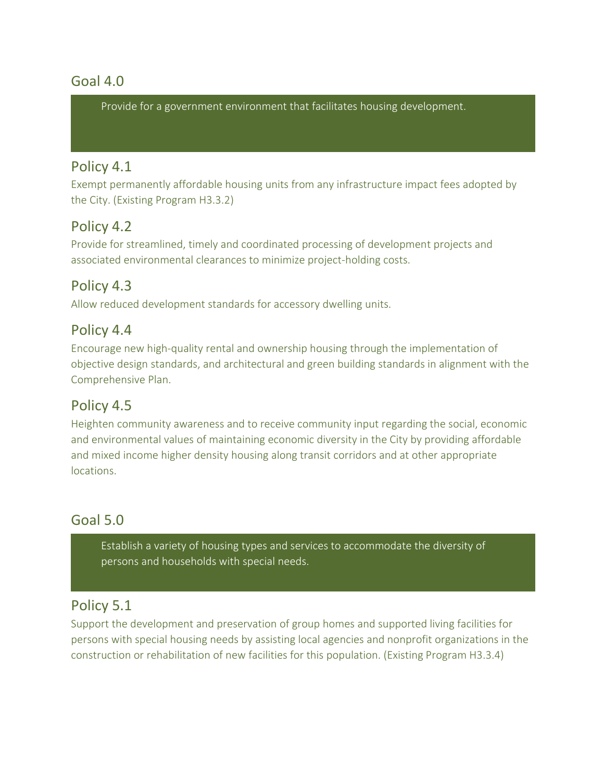#### Goal 4.0

Provide for a government environment that facilitates housing development.

#### Policy 4.1

Exempt permanently affordable housing units from any infrastructure impact fees adopted by the City. (Existing Program H3.3.2)

#### Policy 4.2

Provide for streamlined, timely and coordinated processing of development projects and associated environmental clearances to minimize project-holding costs.

#### Policy 4.3

Allow reduced development standards for accessory dwelling units.

#### Policy 4.4

Encourage new high-quality rental and ownership housing through the implementation of objective design standards, and architectural and green building standards in alignment with the Comprehensive Plan.

#### Policy 4.5

Heighten community awareness and to receive community input regarding the social, economic and environmental values of maintaining economic diversity in the City by providing affordable and mixed income higher density housing along transit corridors and at other appropriate locations.

#### Goal 5.0

Establish a variety of housing types and services to accommodate the diversity of persons and households with special needs.

#### Policy 5.1

Support the development and preservation of group homes and supported living facilities for persons with special housing needs by assisting local agencies and nonprofit organizations in the construction or rehabilitation of new facilities for this population. (Existing Program H3.3.4)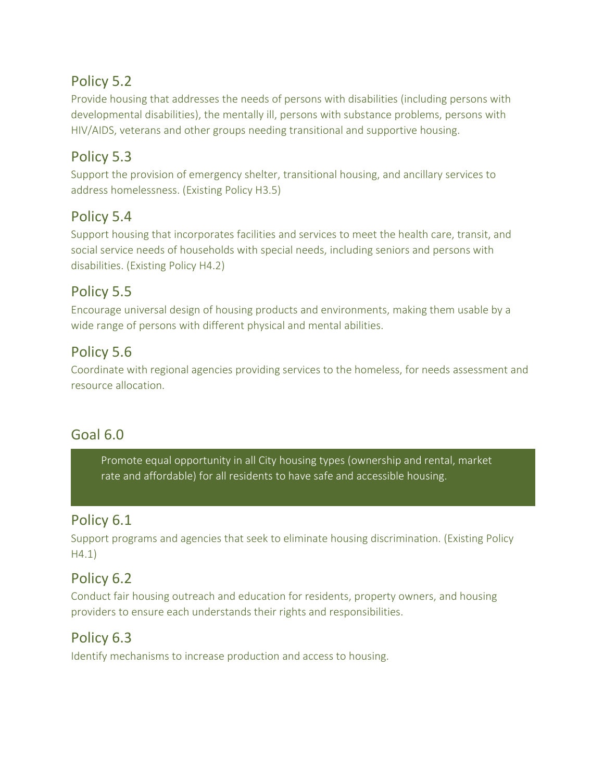#### Policy 5.2

Provide housing that addresses the needs of persons with disabilities (including persons with developmental disabilities), the mentally ill, persons with substance problems, persons with HIV/AIDS, veterans and other groups needing transitional and supportive housing.

#### Policy 5.3

Support the provision of emergency shelter, transitional housing, and ancillary services to address homelessness. (Existing Policy H3.5)

#### Policy 5.4

Support housing that incorporates facilities and services to meet the health care, transit, and social service needs of households with special needs, including seniors and persons with disabilities. (Existing Policy H4.2)

# Policy 5.5

Encourage universal design of housing products and environments, making them usable by a wide range of persons with different physical and mental abilities.

## Policy 5.6

Coordinate with regional agencies providing services to the homeless, for needs assessment and resource allocation.

## Goal 6.0

Promote equal opportunity in all City housing types (ownership and rental, market rate and affordable) for all residents to have safe and accessible housing.

#### Policy 6.1

Support programs and agencies that seek to eliminate housing discrimination. (Existing Policy H4.1)

## Policy 6.2

Conduct fair housing outreach and education for residents, property owners, and housing providers to ensure each understands their rights and responsibilities.

#### Policy 6.3

Identify mechanisms to increase production and access to housing.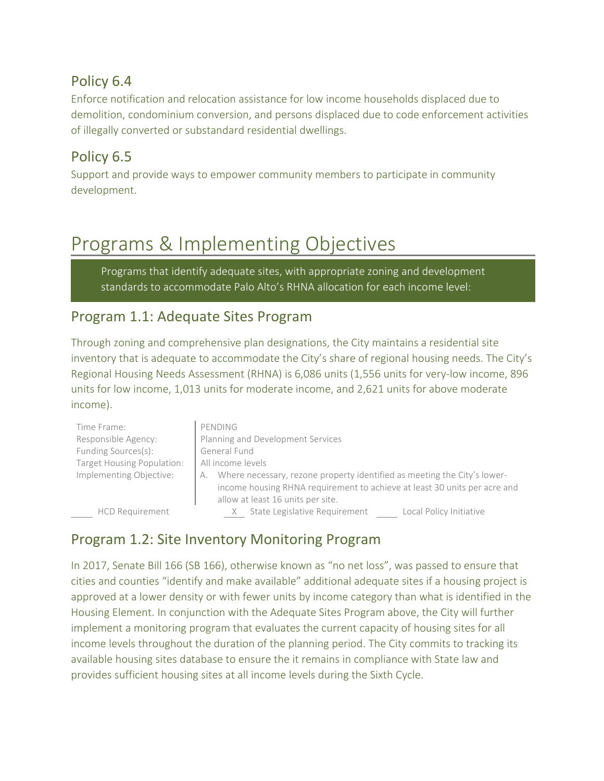#### Policy 6.4

Enforce notification and relocation assistance for low income households displaced due to demolition, condominium conversion, and persons displaced due to code enforcement activities of illegally converted or substandard residential dwellings.

## Policy 6.5

Support and provide ways to empower community members to participate in community development.

# Programs & Implementing Objectives

Programs that identify adequate sites, with appropriate zoning and development standards to accommodate Palo Alto's RHNA allocation for each income level:

#### Program 1.1: Adequate Sites Program

Through zoning and comprehensive plan designations, the City maintains a residential site inventory that is adequate to accommodate the City's share of regional housing needs. The City's Regional Housing Needs Assessment (RHNA) is 6,086 units (1,556 units for very-low income, 896 units for low income, 1,013 units for moderate income, and 2,621 units for above moderate income).

| Time Frame:                | PENDING                                                                                                                                                                                          |
|----------------------------|--------------------------------------------------------------------------------------------------------------------------------------------------------------------------------------------------|
| Responsible Agency:        | Planning and Development Services                                                                                                                                                                |
| Funding Sources(s):        | General Fund                                                                                                                                                                                     |
| Target Housing Population: | All income levels                                                                                                                                                                                |
| Implementing Objective:    | Where necessary, rezone property identified as meeting the City's lower-<br>А.<br>income housing RHNA requirement to achieve at least 30 units per acre and<br>allow at least 16 units per site. |
| <b>HCD Requirement</b>     | State Legislative Requirement<br>Local Policy Initiative                                                                                                                                         |

#### Program 1.2: Site Inventory Monitoring Program

In 2017, Senate Bill 166 (SB 166), otherwise known as "no net loss", was passed to ensure that cities and counties "identify and make available" additional adequate sites if a housing project is approved at a lower density or with fewer units by income category than what is identified in the Housing Element. In conjunction with the Adequate Sites Program above, the City will further implement a monitoring program that evaluates the current capacity of housing sites for all income levels throughout the duration of the planning period. The City commits to tracking its available housing sites database to ensure the it remains in compliance with State law and provides sufficient housing sites at all income levels during the Sixth Cycle.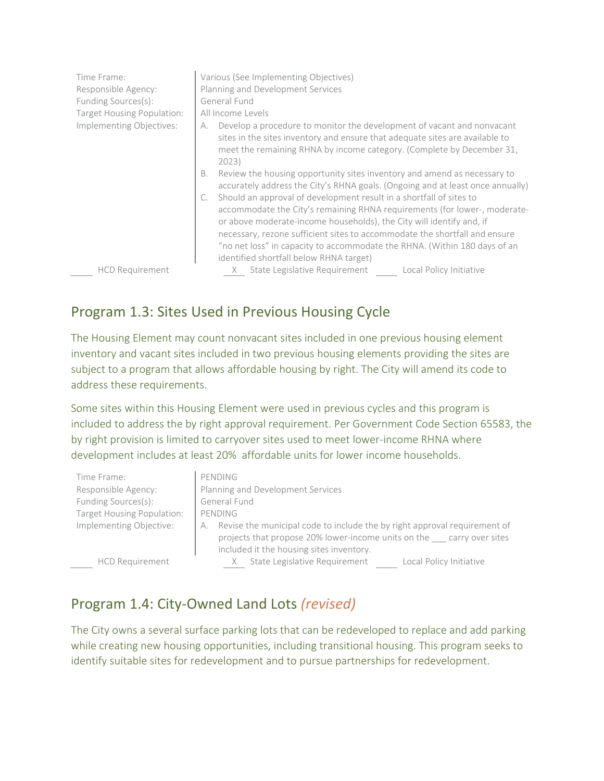| Time Frame:<br>Responsible Agency:<br>Funding Sources(s):<br>Target Housing Population:<br>Implementing Objectives: | Various (See Implementing Objectives)<br>Planning and Development Services<br>General Fund<br>All Income Levels<br>Develop a procedure to monitor the development of vacant and nonvacant<br>А.<br>sites in the sites inventory and ensure that adequate sites are available to<br>meet the remaining RHNA by income category. (Complete by December 31,<br>2023)                                                                                                                                                                                                                                  |
|---------------------------------------------------------------------------------------------------------------------|----------------------------------------------------------------------------------------------------------------------------------------------------------------------------------------------------------------------------------------------------------------------------------------------------------------------------------------------------------------------------------------------------------------------------------------------------------------------------------------------------------------------------------------------------------------------------------------------------|
|                                                                                                                     | Review the housing opportunity sites inventory and amend as necessary to<br>В.<br>accurately address the City's RHNA goals. (Ongoing and at least once annually)<br>Should an approval of development result in a shortfall of sites to<br>accommodate the City's remaining RHNA requirements (for lower-, moderate-<br>or above moderate-income households), the City will identify and, if<br>necessary, rezone sufficient sites to accommodate the shortfall and ensure<br>"no net loss" in capacity to accommodate the RHNA. (Within 180 days of an<br>identified shortfall below RHNA target) |
| <b>HCD Requirement</b>                                                                                              | State Legislative Requirement<br>Local Policy Initiative                                                                                                                                                                                                                                                                                                                                                                                                                                                                                                                                           |

#### Program 1.3: Sites Used in Previous Housing Cycle

The Housing Element may count nonvacant sites included in one previous housing element inventory and vacant sites included in two previous housing elements providing the sites are subject to a program that allows affordable housing by right. The City will amend its code to address these requirements.

Some sites within this Housing Element were used in previous cycles and this program is included to address the by right approval requirement. Per Government Code Section 65583, the by right provision is limited to carryover sites used to meet lower-income RHNA where development includes at least 20% affordable units for lower income households.

| Time Frame:                | PENDING                                                                         |
|----------------------------|---------------------------------------------------------------------------------|
| Responsible Agency:        | Planning and Development Services                                               |
| Funding Sources(s):        | General Fund                                                                    |
| Target Housing Population: | PENDING                                                                         |
| Implementing Objective:    | Revise the municipal code to include the by right approval requirement of<br>А. |
|                            | projects that propose 20% lower-income units on the carry over sites            |
|                            | included it the housing sites inventory.                                        |
| <b>HCD Requirement</b>     | State Legislative Requirement<br>Local Policy Initiative                        |

#### Program 1.4: City-Owned Land Lots *(revised)*

The City owns a several surface parking lots that can be redeveloped to replace and add parking while creating new housing opportunities, including transitional housing. This program seeks to identify suitable sites for redevelopment and to pursue partnerships for redevelopment.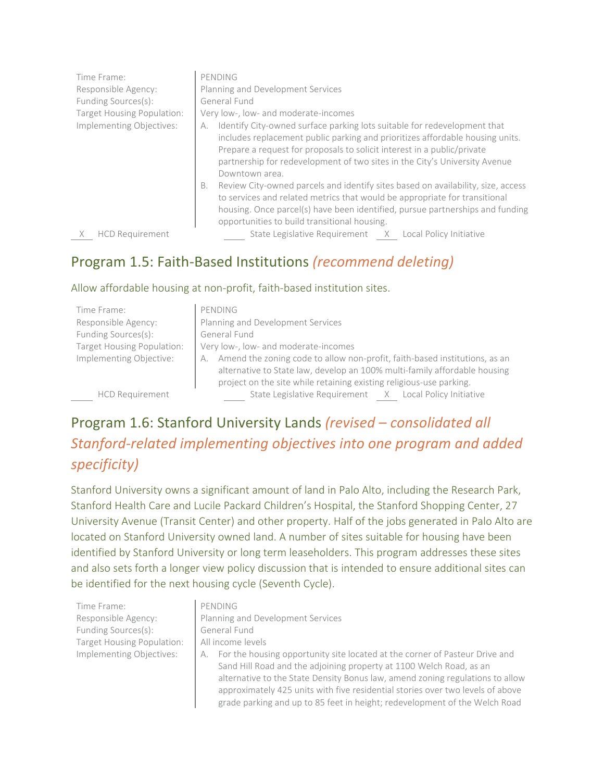| Time Frame:<br>Responsible Agency:<br>Funding Sources(s):<br>Target Housing Population:<br>Implementing Objectives: | PENDING<br>Planning and Development Services<br>General Fund<br>Very low-, low- and moderate-incomes<br>Identify City-owned surface parking lots suitable for redevelopment that<br>А.<br>includes replacement public parking and prioritizes affordable housing units.<br>Prepare a request for proposals to solicit interest in a public/private<br>partnership for redevelopment of two sites in the City's University Avenue<br>Downtown area.<br>Review City-owned parcels and identify sites based on availability, size, access<br>В.<br>to services and related metrics that would be appropriate for transitional<br>housing. Once parcel(s) have been identified, pursue partnerships and funding<br>opportunities to build transitional housing. |
|---------------------------------------------------------------------------------------------------------------------|-------------------------------------------------------------------------------------------------------------------------------------------------------------------------------------------------------------------------------------------------------------------------------------------------------------------------------------------------------------------------------------------------------------------------------------------------------------------------------------------------------------------------------------------------------------------------------------------------------------------------------------------------------------------------------------------------------------------------------------------------------------|
| <b>HCD Requirement</b>                                                                                              | State Legislative Requirement<br>Local Policy Initiative<br>X                                                                                                                                                                                                                                                                                                                                                                                                                                                                                                                                                                                                                                                                                               |

#### Program 1.5: Faith-Based Institutions *(recommend deleting)*

#### Allow affordable housing at non-profit, faith-based institution sites.

| Time Frame:                | PENDING                                                                                                                                                                                                                              |
|----------------------------|--------------------------------------------------------------------------------------------------------------------------------------------------------------------------------------------------------------------------------------|
| Responsible Agency:        | Planning and Development Services                                                                                                                                                                                                    |
| Funding Sources(s):        | General Fund                                                                                                                                                                                                                         |
| Target Housing Population: | Very low-, low- and moderate-incomes                                                                                                                                                                                                 |
| Implementing Objective:    | Amend the zoning code to allow non-profit, faith-based institutions, as an<br>А.<br>alternative to State law, develop an 100% multi-family affordable housing<br>project on the site while retaining existing religious-use parking. |
| <b>HCD Requirement</b>     | State Legislative Requirement X Local Policy Initiative                                                                                                                                                                              |

# Program 1.6: Stanford University Lands *(revised – consolidated all Stanford-related implementing objectives into one program and added specificity)*

Stanford University owns a significant amount of land in Palo Alto, including the Research Park, Stanford Health Care and Lucile Packard Children's Hospital, the Stanford Shopping Center, 27 University Avenue (Transit Center) and other property. Half of the jobs generated in Palo Alto are located on Stanford University owned land. A number of sites suitable for housing have been identified by Stanford University or long term leaseholders. This program addresses these sites and also sets forth a longer view policy discussion that is intended to ensure additional sites can be identified for the next housing cycle (Seventh Cycle).

Time Frame: PENDING Funding Sources(s): General Fund Target Housing Population: | All income levels

- Responsible Agency: Planning and Development Services
- Implementing Objectives: | A. For the housing opportunity site located at the corner of Pasteur Drive and Sand Hill Road and the adjoining property at 1100 Welch Road, as an alternative to the State Density Bonus law, amend zoning regulations to allow approximately 425 units with five residential stories over two levels of above grade parking and up to 85 feet in height; redevelopment of the Welch Road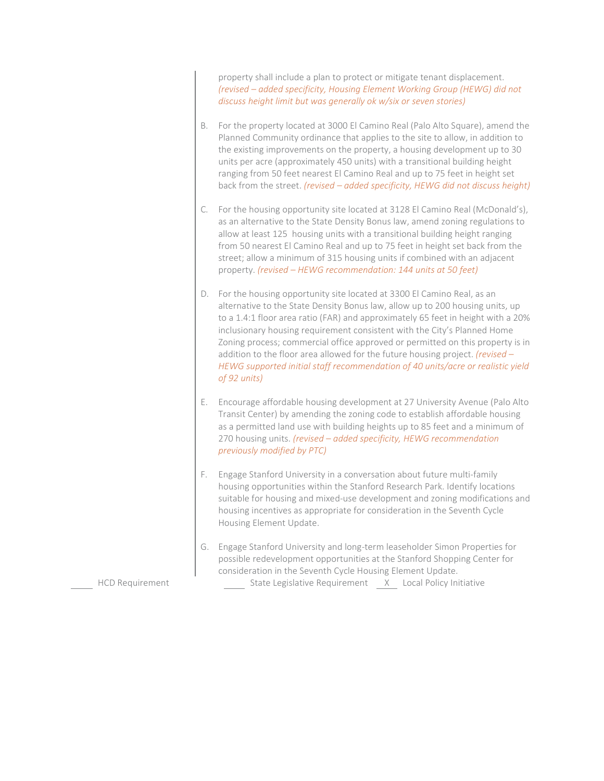property shall include a plan to protect or mitigate tenant displacement. *(revised – added specificity, Housing Element Working Group (HEWG) did not discuss height limit but was generally ok w/six or seven stories)*

- B. For the property located at 3000 El Camino Real (Palo Alto Square), amend the Planned Community ordinance that applies to the site to allow, in addition to the existing improvements on the property, a housing development up to 30 units per acre (approximately 450 units) with a transitional building height ranging from 50 feet nearest El Camino Real and up to 75 feet in height set back from the street. *(revised – added specificity, HEWG did not discuss height)*
- C. For the housing opportunity site located at 3128 El Camino Real (McDonald's), as an alternative to the State Density Bonus law, amend zoning regulations to allow at least 125 housing units with a transitional building height ranging from 50 nearest El Camino Real and up to 75 feet in height set back from the street; allow a minimum of 315 housing units if combined with an adjacent property. *(revised – HEWG recommendation: 144 units at 50 feet)*
- D. For the housing opportunity site located at 3300 El Camino Real, as an alternative to the State Density Bonus law, allow up to 200 housing units, up to a 1.4:1 floor area ratio (FAR) and approximately 65 feet in height with a 20% inclusionary housing requirement consistent with the City's Planned Home Zoning process; commercial office approved or permitted on this property is in addition to the floor area allowed for the future housing project. *(revised – HEWG supported initial staff recommendation of 40 units/acre or realistic yield of 92 units)*
- E. Encourage affordable housing development at 27 University Avenue (Palo Alto Transit Center) by amending the zoning code to establish affordable housing as a permitted land use with building heights up to 85 feet and a minimum of 270 housing units. *(revised – added specificity, HEWG recommendation previously modified by PTC)*
- F. Engage Stanford University in a conversation about future multi-family housing opportunities within the Stanford Research Park. Identify locations suitable for housing and mixed-use development and zoning modifications and housing incentives as appropriate for consideration in the Seventh Cycle Housing Element Update.
- G. Engage Stanford University and long-term leaseholder Simon Properties for possible redevelopment opportunities at the Stanford Shopping Center for consideration in the Seventh Cycle Housing Element Update.

HCD Requirement State Legislative Requirement X Local Policy Initiative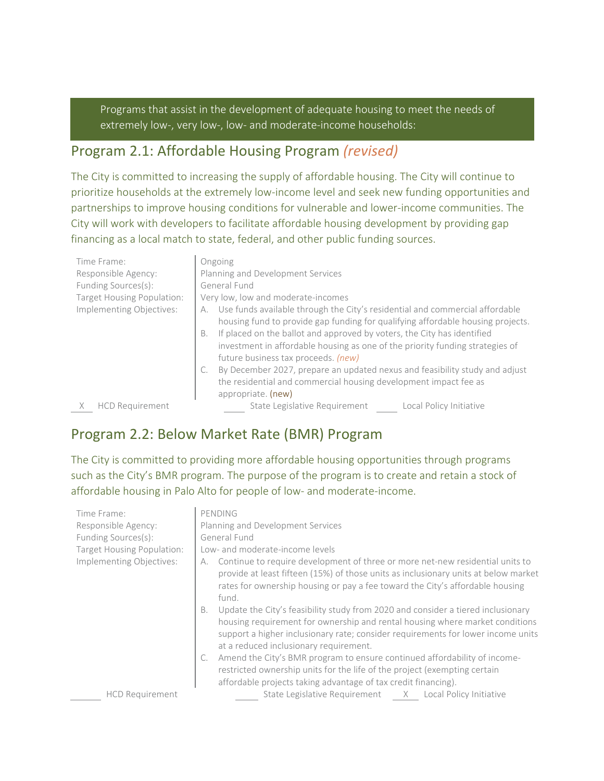Programs that assist in the development of adequate housing to meet the needs of extremely low-, very low-, low- and moderate-income households:

#### Program 2.1: Affordable Housing Program *(revised)*

The City is committed to increasing the supply of affordable housing. The City will continue to prioritize households at the extremely low-income level and seek new funding opportunities and partnerships to improve housing conditions for vulnerable and lower-income communities. The City will work with developers to facilitate affordable housing development by providing gap financing as a local match to state, federal, and other public funding sources.

| Time Frame:<br>Responsible Agency:<br>Funding Sources(s):<br>Target Housing Population:<br>Implementing Objectives: | Ongoing<br>Planning and Development Services<br>General Fund<br>Very low, low and moderate-incomes<br>Use funds available through the City's residential and commercial affordable<br>А.<br>housing fund to provide gap funding for qualifying affordable housing projects.<br>If placed on the ballot and approved by voters, the City has identified<br><b>B.</b><br>investment in affordable housing as one of the priority funding strategies of<br>future business tax proceeds. (new)<br>By December 2027, prepare an updated nexus and feasibility study and adjust |
|---------------------------------------------------------------------------------------------------------------------|----------------------------------------------------------------------------------------------------------------------------------------------------------------------------------------------------------------------------------------------------------------------------------------------------------------------------------------------------------------------------------------------------------------------------------------------------------------------------------------------------------------------------------------------------------------------------|
|                                                                                                                     | the residential and commercial housing development impact fee as<br>appropriate. (new)                                                                                                                                                                                                                                                                                                                                                                                                                                                                                     |
| <b>HCD Requirement</b>                                                                                              | State Legislative Requirement<br>Local Policy Initiative                                                                                                                                                                                                                                                                                                                                                                                                                                                                                                                   |

#### Program 2.2: Below Market Rate (BMR) Program

The City is committed to providing more affordable housing opportunities through programs such as the City's BMR program. The purpose of the program is to create and retain a stock of affordable housing in Palo Alto for people of low- and moderate-income.

| Time Frame:<br>Responsible Agency:<br>Funding Sources(s):<br>Target Housing Population:<br>Implementing Objectives:<br><b>HCD Requirement</b> | PENDING<br>Planning and Development Services<br>General Fund<br>Low- and moderate-income levels<br>Continue to require development of three or more net-new residential units to<br>А.<br>provide at least fifteen (15%) of those units as inclusionary units at below market<br>rates for ownership housing or pay a fee toward the City's affordable housing<br>fund.                                                                                                                                                                                                                     |
|-----------------------------------------------------------------------------------------------------------------------------------------------|---------------------------------------------------------------------------------------------------------------------------------------------------------------------------------------------------------------------------------------------------------------------------------------------------------------------------------------------------------------------------------------------------------------------------------------------------------------------------------------------------------------------------------------------------------------------------------------------|
|                                                                                                                                               | Update the City's feasibility study from 2020 and consider a tiered inclusionary<br>B.<br>housing requirement for ownership and rental housing where market conditions<br>support a higher inclusionary rate; consider requirements for lower income units<br>at a reduced inclusionary requirement.<br>Amend the City's BMR program to ensure continued affordability of income-<br>restricted ownership units for the life of the project (exempting certain<br>affordable projects taking advantage of tax credit financing).<br>State Legislative Requirement X Local Policy Initiative |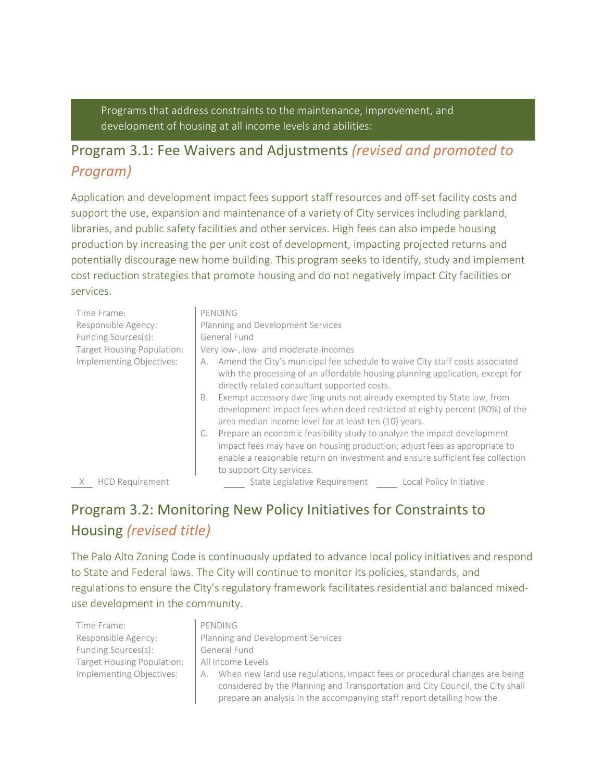Programs that address constraints to the maintenance, improvement, and development of housing at all income levels and abilities:

#### Program 3.1: Fee Waivers and Adjustments *(revised and promoted to Program)*

Application and development impact fees support staff resources and off-set facility costs and support the use, expansion and maintenance of a variety of City services including parkland, libraries, and public safety facilities and other services. High fees can also impede housing production by increasing the per unit cost of development, impacting projected returns and potentially discourage new home building. This program seeks to identify, study and implement cost reduction strategies that promote housing and do not negatively impact City facilities or services.

| Time Frame:                | PENDING                                                                                                                                                                                                                                                            |
|----------------------------|--------------------------------------------------------------------------------------------------------------------------------------------------------------------------------------------------------------------------------------------------------------------|
| Responsible Agency:        | Planning and Development Services                                                                                                                                                                                                                                  |
| Funding Sources(s):        | General Fund                                                                                                                                                                                                                                                       |
| Target Housing Population: | Very low-, low- and moderate-incomes                                                                                                                                                                                                                               |
| Implementing Objectives:   | Amend the City's municipal fee schedule to waive City staff costs associated<br>А.<br>with the processing of an affordable housing planning application, except for<br>directly related consultant supported costs.                                                |
|                            | Exempt accessory dwelling units not already exempted by State law, from<br>В.<br>development impact fees when deed restricted at eighty percent (80%) of the<br>area median income level for at least ten (10) years.                                              |
|                            | Prepare an economic feasibility study to analyze the impact development<br>impact fees may have on housing production; adjust fees as appropriate to<br>enable a reasonable return on investment and ensure sufficient fee collection<br>to support City services. |
|                            | ori tisto o transportante do la finale de la finale de la finale de la finale de la finale de la finale de la                                                                                                                                                      |

X HCD Requirement State Legislative Requirement Local Policy Initiative

prepare an analysis in the accompanying staff report detailing how the

# Program 3.2: Monitoring New Policy Initiatives for Constraints to Housing *(revised title)*

The Palo Alto Zoning Code is continuously updated to advance local policy initiatives and respond to State and Federal laws. The City will continue to monitor its policies, standards, and regulations to ensure the City's regulatory framework facilitates residential and balanced mixeduse development in the community.

| Time Frame:                | PENDING                                                                          |
|----------------------------|----------------------------------------------------------------------------------|
| Responsible Agency:        | Planning and Development Services                                                |
| Funding Sources(s):        | General Fund                                                                     |
| Target Housing Population: | All Income Levels                                                                |
| Implementing Objectives:   | When new land use regulations, impact fees or procedural changes are being<br>А. |
|                            | considered by the Planning and Transportation and City Council, the City shall   |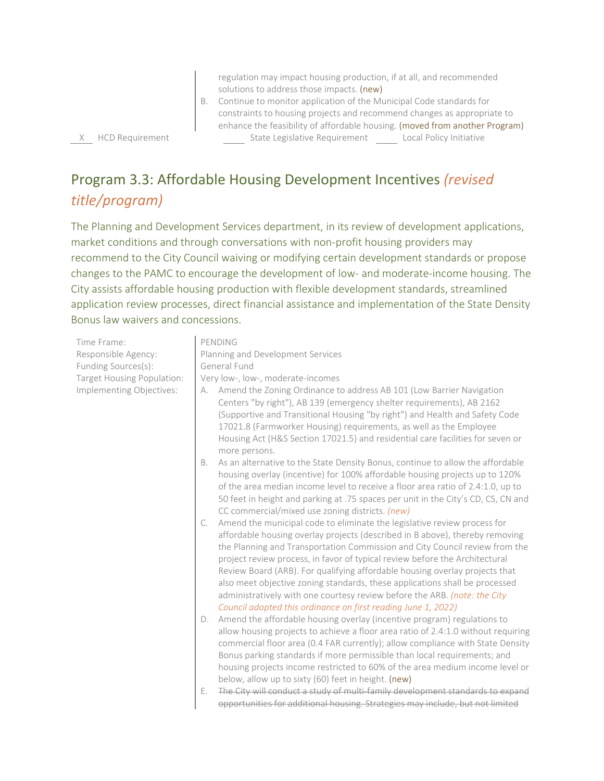regulation may impact housing production, if at all, and recommended solutions to address those impacts. (new)

#### B. Continue to monitor application of the Municipal Code standards for constraints to housing projects and recommend changes as appropriate to enhance the feasibility of affordable housing. (moved from another Program) X HCD Requirement State Legislative Requirement Local Policy Initiative

# Program 3.3: Affordable Housing Development Incentives *(revised title/program)*

The Planning and Development Services department, in its review of development applications, market conditions and through conversations with non-profit housing providers may recommend to the City Council waiving or modifying certain development standards or propose changes to the PAMC to encourage the development of low- and moderate-income housing. The City assists affordable housing production with flexible development standards, streamlined application review processes, direct financial assistance and implementation of the State Density Bonus law waivers and concessions.

Time Frame: PENDING Responsible Agency: Planning and Development Services Funding Sources(s): General Fund Target Housing Population: | Very low-, low-, moderate-incomes Implementing Objectives: A. Amend the Zoning Ordinance to address AB 101 (Low Barrier Navigation Centers "by right"), AB 139 (emergency shelter requirements), AB 2162 (Supportive and Transitional Housing "by right") and Health and Safety Code 17021.8 (Farmworker Housing) requirements, as well as the Employee Housing Act (H&S Section 17021.5) and residential care facilities for seven or more persons. B. As an alternative to the State Density Bonus, continue to allow the affordable housing overlay (incentive) for 100% affordable housing projects up to 120% of the area median income level to receive a floor area ratio of 2.4:1.0, up to 50 feet in height and parking at .75 spaces per unit in the City's CD, CS, CN and CC commercial/mixed use zoning districts. *(new)* C. Amend the municipal code to eliminate the legislative review process for affordable housing overlay projects (described in B above), thereby removing the Planning and Transportation Commission and City Council review from the project review process, in favor of typical review before the Architectural Review Board (ARB). For qualifying affordable housing overlay projects that also meet objective zoning standards, these applications shall be processed administratively with one courtesy review before the ARB. *(note: the City Council adopted this ordinance on first reading June 1, 2022)* D. Amend the affordable housing overlay (incentive program) regulations to allow housing projects to achieve a floor area ratio of 2.4:1.0 without requiring commercial floor area (0.4 FAR currently); allow compliance with State Density Bonus parking standards if more permissible than local requirements; and housing projects income restricted to 60% of the area medium income level or below, allow up to sixty (60) feet in height. (new) E. The City will conduct a study of multi-family development standards to expand opportunities for additional housing. Strategies may include, but not limited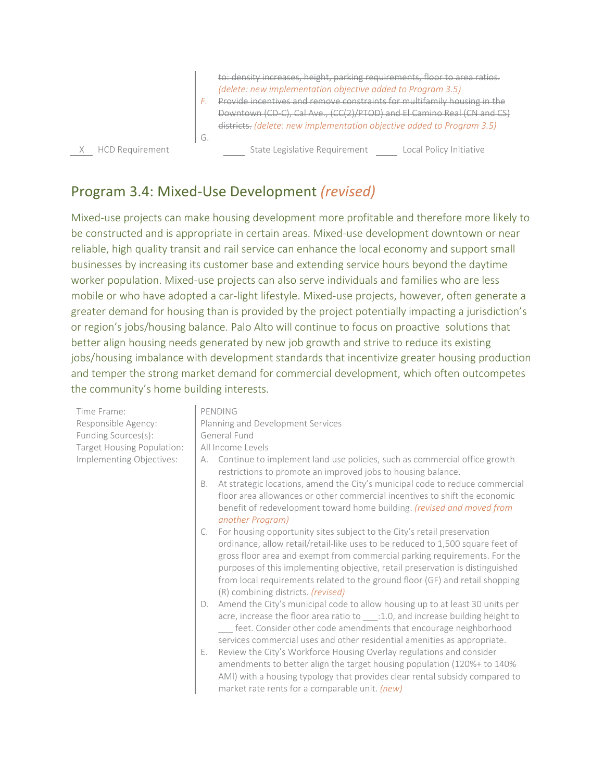to: density increases, height, parking requirements, floor to area ratios. *(delete: new implementation objective added to Program 3.5)*

*F.* Provide incentives and remove constraints for multifamily housing in the Downtown (CD-C), Cal Ave., (CC(2)/PTOD) and El Camino Real (CN and CS) districts. *(delete: new implementation objective added to Program 3.5)*  G.

X HCD Requirement State Legislative Requirement Local Policy Initiative

#### Program 3.4: Mixed-Use Development *(revised)*

Mixed-use projects can make housing development more profitable and therefore more likely to be constructed and is appropriate in certain areas. Mixed-use development downtown or near reliable, high quality transit and rail service can enhance the local economy and support small businesses by increasing its customer base and extending service hours beyond the daytime worker population. Mixed-use projects can also serve individuals and families who are less mobile or who have adopted a car-light lifestyle. Mixed-use projects, however, often generate a greater demand for housing than is provided by the project potentially impacting a jurisdiction's or region's jobs/housing balance. Palo Alto will continue to focus on proactive solutions that better align housing needs generated by new job growth and strive to reduce its existing jobs/housing imbalance with development standards that incentivize greater housing production and temper the strong market demand for commercial development, which often outcompetes the community's home building interests.

Time Frame: PENDING Responsible Agency: **Planning and Development Services** Funding Sources(s): General Fund Target Housing Population: | All Income Levels Implementing Objectives: A. Continue to implement land use policies, such as commercial office growth restrictions to promote an improved jobs to housing balance. B. At strategic locations, amend the City's municipal code to reduce commercial floor area allowances or other commercial incentives to shift the economic benefit of redevelopment toward home building. *(revised and moved from another Program)* C. For housing opportunity sites subject to the City's retail preservation ordinance, allow retail/retail-like uses to be reduced to 1,500 square feet of gross floor area and exempt from commercial parking requirements. For the purposes of this implementing objective, retail preservation is distinguished from local requirements related to the ground floor (GF) and retail shopping (R) combining districts. *(revised)* D. Amend the City's municipal code to allow housing up to at least 30 units per acre, increase the floor area ratio to :1.0, and increase building height to \_\_\_ feet. Consider other code amendments that encourage neighborhood services commercial uses and other residential amenities as appropriate.

> E. Review the City's Workforce Housing Overlay regulations and consider amendments to better align the target housing population (120%+ to 140% AMI) with a housing typology that provides clear rental subsidy compared to market rate rents for a comparable unit. *(new)*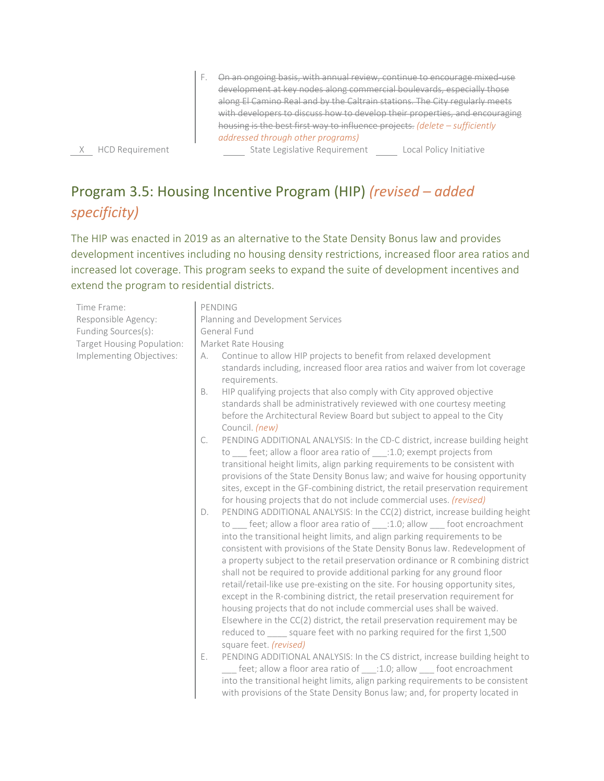F. On an ongoing basis, with annual review, continue to encourage mixed-use development at key nodes along commercial boulevards, especially those along El Camino Real and by the Caltrain stations. The City regularly meets with developers to discuss how to develop their properties, and encouraging housing is the best first way to influence projects. *(delete – sufficiently addressed through other programs)* 

X HCD Requirement The State Legislative Requirement Local Policy Initiative

Program 3.5: Housing Incentive Program (HIP) *(revised – added specificity)*

The HIP was enacted in 2019 as an alternative to the State Density Bonus law and provides development incentives including no housing density restrictions, increased floor area ratios and increased lot coverage. This program seeks to expand the suite of development incentives and extend the program to residential districts.

| Time Frame:                | PENDING                                                                                                                                                                                                                                                                                                                                                                                                                                                                                                                                                                                                                                                                                                                                                                                                                                                                                                                            |  |
|----------------------------|------------------------------------------------------------------------------------------------------------------------------------------------------------------------------------------------------------------------------------------------------------------------------------------------------------------------------------------------------------------------------------------------------------------------------------------------------------------------------------------------------------------------------------------------------------------------------------------------------------------------------------------------------------------------------------------------------------------------------------------------------------------------------------------------------------------------------------------------------------------------------------------------------------------------------------|--|
| Responsible Agency:        | Planning and Development Services                                                                                                                                                                                                                                                                                                                                                                                                                                                                                                                                                                                                                                                                                                                                                                                                                                                                                                  |  |
| Funding Sources(s):        | General Fund                                                                                                                                                                                                                                                                                                                                                                                                                                                                                                                                                                                                                                                                                                                                                                                                                                                                                                                       |  |
| Target Housing Population: | Market Rate Housing                                                                                                                                                                                                                                                                                                                                                                                                                                                                                                                                                                                                                                                                                                                                                                                                                                                                                                                |  |
| Implementing Objectives:   | Continue to allow HIP projects to benefit from relaxed development<br>А.<br>standards including, increased floor area ratios and waiver from lot coverage<br>requirements.<br>HIP qualifying projects that also comply with City approved objective<br>В.<br>standards shall be administratively reviewed with one courtesy meeting<br>before the Architectural Review Board but subject to appeal to the City<br>Council. (new)                                                                                                                                                                                                                                                                                                                                                                                                                                                                                                   |  |
|                            | PENDING ADDITIONAL ANALYSIS: In the CD-C district, increase building height<br>C.<br>to feet; allow a floor area ratio of :1.0; exempt projects from<br>transitional height limits, align parking requirements to be consistent with<br>provisions of the State Density Bonus law; and waive for housing opportunity<br>sites, except in the GF-combining district, the retail preservation requirement<br>for housing projects that do not include commercial uses. (revised)                                                                                                                                                                                                                                                                                                                                                                                                                                                     |  |
|                            | PENDING ADDITIONAL ANALYSIS: In the CC(2) district, increase building height<br>D.<br>to ____ feet; allow a floor area ratio of ____:1.0; allow ____ foot encroachment<br>into the transitional height limits, and align parking requirements to be<br>consistent with provisions of the State Density Bonus law. Redevelopment of<br>a property subject to the retail preservation ordinance or R combining district<br>shall not be required to provide additional parking for any ground floor<br>retail/retail-like use pre-existing on the site. For housing opportunity sites,<br>except in the R-combining district, the retail preservation requirement for<br>housing projects that do not include commercial uses shall be waived.<br>Elsewhere in the CC(2) district, the retail preservation requirement may be<br>reduced to _____ square feet with no parking required for the first 1,500<br>square feet. (revised) |  |
|                            | Ε.<br>PENDING ADDITIONAL ANALYSIS: In the CS district, increase building height to<br>feet; allow a floor area ratio of :1.0; allow foot encroachment<br>into the transitional height limits, align parking requirements to be consistent<br>with provisions of the State Density Bonus law; and, for property located in                                                                                                                                                                                                                                                                                                                                                                                                                                                                                                                                                                                                          |  |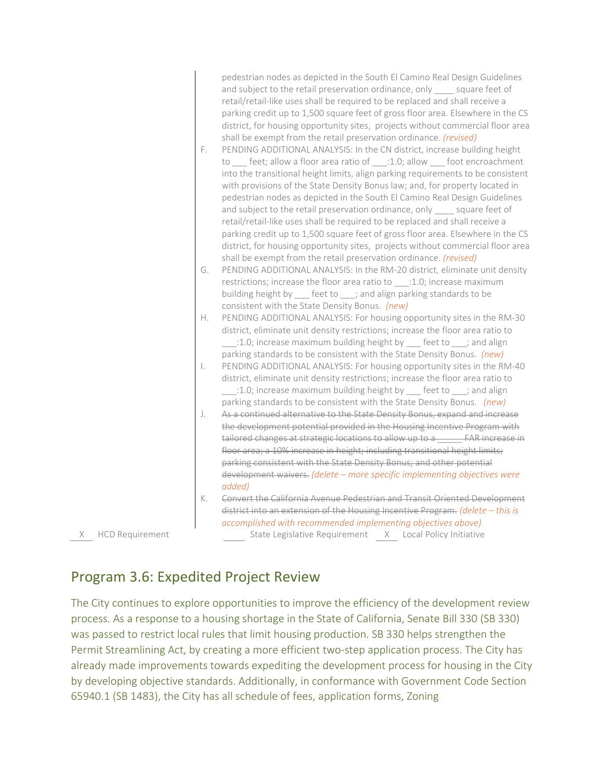|                   | F.<br>G.     | pedestrian nodes as depicted in the South El Camino Real Design Guidelines<br>and subject to the retail preservation ordinance, only _____ square feet of<br>retail/retail-like uses shall be required to be replaced and shall receive a<br>parking credit up to 1,500 square feet of gross floor area. Elsewhere in the CS<br>district, for housing opportunity sites, projects without commercial floor area<br>shall be exempt from the retail preservation ordinance. (revised)<br>PENDING ADDITIONAL ANALYSIS: In the CN district, increase building height<br>to ___ feet; allow a floor area ratio of ___:1.0; allow ___ foot encroachment<br>into the transitional height limits, align parking requirements to be consistent<br>with provisions of the State Density Bonus law; and, for property located in<br>pedestrian nodes as depicted in the South El Camino Real Design Guidelines<br>and subject to the retail preservation ordinance, only _____ square feet of<br>retail/retail-like uses shall be required to be replaced and shall receive a<br>parking credit up to 1,500 square feet of gross floor area. Elsewhere in the CS<br>district, for housing opportunity sites, projects without commercial floor area<br>shall be exempt from the retail preservation ordinance. (revised)<br>PENDING ADDITIONAL ANALYSIS: In the RM-20 district, eliminate unit density<br>restrictions; increase the floor area ratio to ____: 1.0; increase maximum |
|-------------------|--------------|----------------------------------------------------------------------------------------------------------------------------------------------------------------------------------------------------------------------------------------------------------------------------------------------------------------------------------------------------------------------------------------------------------------------------------------------------------------------------------------------------------------------------------------------------------------------------------------------------------------------------------------------------------------------------------------------------------------------------------------------------------------------------------------------------------------------------------------------------------------------------------------------------------------------------------------------------------------------------------------------------------------------------------------------------------------------------------------------------------------------------------------------------------------------------------------------------------------------------------------------------------------------------------------------------------------------------------------------------------------------------------------------------------------------------------------------------------------------------|
|                   | Η.           | building height by _____ feet to ____; and align parking standards to be<br>consistent with the State Density Bonus. (new)<br>PENDING ADDITIONAL ANALYSIS: For housing opportunity sites in the RM-30<br>district, eliminate unit density restrictions; increase the floor area ratio to                                                                                                                                                                                                                                                                                                                                                                                                                                                                                                                                                                                                                                                                                                                                                                                                                                                                                                                                                                                                                                                                                                                                                                                   |
|                   | $\mathsf{L}$ | parking standards to be consistent with the State Density Bonus. (new)<br>PENDING ADDITIONAL ANALYSIS: For housing opportunity sites in the RM-40<br>district, eliminate unit density restrictions; increase the floor area ratio to<br>1.0; increase maximum building height by ___ feet to ___; and align                                                                                                                                                                                                                                                                                                                                                                                                                                                                                                                                                                                                                                                                                                                                                                                                                                                                                                                                                                                                                                                                                                                                                                |
|                   | J.           | parking standards to be consistent with the State Density Bonus. (new)<br>As a continued alternative to the State Density Bonus, expand and increase<br>the development potential provided in the Housing Incentive Program with                                                                                                                                                                                                                                                                                                                                                                                                                                                                                                                                                                                                                                                                                                                                                                                                                                                                                                                                                                                                                                                                                                                                                                                                                                           |
|                   |              | tailored changes at strategic locations to allow up to a ______ FAR increase in<br>floor area; a 10% increase in height; including transitional height limits;<br>parking consistent with the State Density Bonus; and other potential                                                                                                                                                                                                                                                                                                                                                                                                                                                                                                                                                                                                                                                                                                                                                                                                                                                                                                                                                                                                                                                                                                                                                                                                                                     |
|                   |              | development waivers. (delete - more specific implementing objectives were<br>added)<br>Convert the California Avenue Pedestrian and Transit Oriented Development                                                                                                                                                                                                                                                                                                                                                                                                                                                                                                                                                                                                                                                                                                                                                                                                                                                                                                                                                                                                                                                                                                                                                                                                                                                                                                           |
|                   | К.           | district into an extension of the Housing Incentive Program. (delete - this is<br>accomplished with recommended implementing objectives above)                                                                                                                                                                                                                                                                                                                                                                                                                                                                                                                                                                                                                                                                                                                                                                                                                                                                                                                                                                                                                                                                                                                                                                                                                                                                                                                             |
| X HCD Requirement |              | State Legislative Requirement X Local Policy Initiative                                                                                                                                                                                                                                                                                                                                                                                                                                                                                                                                                                                                                                                                                                                                                                                                                                                                                                                                                                                                                                                                                                                                                                                                                                                                                                                                                                                                                    |

#### Program 3.6: Expedited Project Review

The City continues to explore opportunities to improve the efficiency of the development review process. As a response to a housing shortage in the State of California, Senate Bill 330 (SB 330) was passed to restrict local rules that limit housing production. SB 330 helps strengthen the Permit Streamlining Act, by creating a more efficient two-step application process. The City has already made improvements towards expediting the development process for housing in the City by developing objective standards. Additionally, in conformance with Government Code Section 65940.1 (SB 1483), the City has all schedule of fees, application forms, Zoning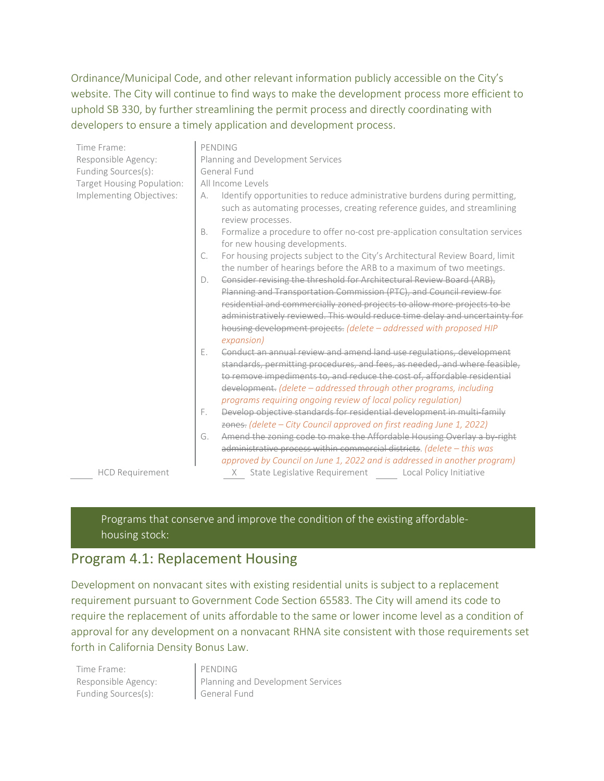Ordinance/Municipal Code, and other relevant information publicly accessible on the City's website. The City will continue to find ways to make the development process more efficient to uphold SB 330, by further streamlining the permit process and directly coordinating with developers to ensure a timely application and development process.

| Time Frame:                | PENDING                                                                                                                                                                                                                                                                                                                                                                                        |  |  |
|----------------------------|------------------------------------------------------------------------------------------------------------------------------------------------------------------------------------------------------------------------------------------------------------------------------------------------------------------------------------------------------------------------------------------------|--|--|
| Responsible Agency:        | Planning and Development Services                                                                                                                                                                                                                                                                                                                                                              |  |  |
| Funding Sources(s):        | General Fund                                                                                                                                                                                                                                                                                                                                                                                   |  |  |
| Target Housing Population: | All Income Levels                                                                                                                                                                                                                                                                                                                                                                              |  |  |
| Implementing Objectives:   | Identify opportunities to reduce administrative burdens during permitting,<br>А.<br>such as automating processes, creating reference guides, and streamlining<br>review processes.                                                                                                                                                                                                             |  |  |
|                            | Formalize a procedure to offer no-cost pre-application consultation services<br><b>B.</b><br>for new housing developments.                                                                                                                                                                                                                                                                     |  |  |
|                            | For housing projects subject to the City's Architectural Review Board, limit<br>C.<br>the number of hearings before the ARB to a maximum of two meetings.                                                                                                                                                                                                                                      |  |  |
|                            | Consider revising the threshold for Architectural Review Board (ARB),<br>$D_{\cdot}$<br>Planning and Transportation Commission (PTC), and Council review for<br>residential and commercially zoned projects to allow more projects to be<br>administratively reviewed. This would reduce time delay and uncertainty for<br>housing development projects. (delete - addressed with proposed HIP |  |  |
|                            | expansion)<br>Conduct an annual review and amend land use regulations, development<br>Е.<br>standards, permitting procedures, and fees, as needed, and where feasible,                                                                                                                                                                                                                         |  |  |
|                            | to remove impediments to, and reduce the cost of, affordable residential<br>development. (delete - addressed through other programs, including<br>programs requiring ongoing review of local policy regulation)                                                                                                                                                                                |  |  |
|                            | Develop objective standards for residential development in multi-family<br>F.<br>zones. (delete - City Council approved on first reading June 1, 2022)                                                                                                                                                                                                                                         |  |  |
|                            | Amend the zoning code to make the Affordable Housing Overlay a by right<br>G.<br>administrative process within commercial districts. (delete - this was<br>approved by Council on June 1, 2022 and is addressed in another program)                                                                                                                                                            |  |  |
| <b>HCD Requirement</b>     | State Legislative Requirement Local Policy Initiative<br>X.                                                                                                                                                                                                                                                                                                                                    |  |  |

Programs that conserve and improve the condition of the existing affordablehousing stock:

#### Program 4.1: Replacement Housing

Development on nonvacant sites with existing residential units is subject to a replacement requirement pursuant to Government Code Section 65583. The City will amend its code to require the replacement of units affordable to the same or lower income level as a condition of approval for any development on a nonvacant RHNA site consistent with those requirements set forth in California Density Bonus Law.

Time Frame: PENDING Funding Sources(s): General Fund

Responsible Agency: Planning and Development Services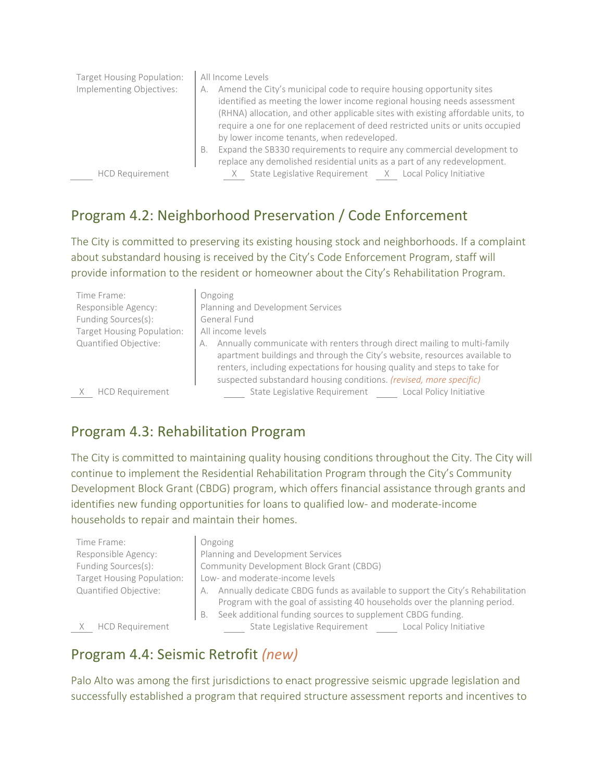| Target Housing Population:<br>Implementing Objectives: | All Income Levels<br>Amend the City's municipal code to require housing opportunity sites<br>А.<br>identified as meeting the lower income regional housing needs assessment<br>(RHNA) allocation, and other applicable sites with existing affordable units, to<br>require a one for one replacement of deed restricted units or units occupied<br>by lower income tenants, when redeveloped.<br>Expand the SB330 requirements to require any commercial development to<br>В.<br>replace any demolished residential units as a part of any redevelopment. |
|--------------------------------------------------------|-----------------------------------------------------------------------------------------------------------------------------------------------------------------------------------------------------------------------------------------------------------------------------------------------------------------------------------------------------------------------------------------------------------------------------------------------------------------------------------------------------------------------------------------------------------|
| <b>HCD Requirement</b>                                 | State Legislative Requirement X Local Policy Initiative                                                                                                                                                                                                                                                                                                                                                                                                                                                                                                   |

#### Program 4.2: Neighborhood Preservation / Code Enforcement

The City is committed to preserving its existing housing stock and neighborhoods. If a complaint about substandard housing is received by the City's Code Enforcement Program, staff will provide information to the resident or homeowner about the City's Rehabilitation Program.

| Time Frame:<br>Responsible Agency:<br>Funding Sources(s):<br><b>Target Housing Population:</b><br>Quantified Objective: | Ongoing<br>Planning and Development Services<br>General Fund<br>All income levels<br>Annually communicate with renters through direct mailing to multi-family<br>А.<br>apartment buildings and through the City's website, resources available to<br>renters, including expectations for housing quality and steps to take for |
|-------------------------------------------------------------------------------------------------------------------------|--------------------------------------------------------------------------------------------------------------------------------------------------------------------------------------------------------------------------------------------------------------------------------------------------------------------------------|
| <b>HCD Requirement</b>                                                                                                  | suspected substandard housing conditions. (revised, more specific)<br>State Legislative Requirement Local Policy Initiative                                                                                                                                                                                                    |

#### Program 4.3: Rehabilitation Program

The City is committed to maintaining quality housing conditions throughout the City. The City will continue to implement the Residential Rehabilitation Program through the City's Community Development Block Grant (CBDG) program, which offers financial assistance through grants and identifies new funding opportunities for loans to qualified low- and moderate-income households to repair and maintain their homes.

| Time Frame:                |
|----------------------------|
| Responsible Agency:        |
| Funding Sources(s):        |
| Target Housing Population: |
| Quantified Objective:      |

#### **Ongoing**

Planning and Development Services Community Development Block Grant (CBDG) Low- and moderate-income levels A. Annually dedicate CBDG funds as available to support the City's Rehabilitation Program with the goal of assisting 40 households over the planning period. B. Seek additional funding sources to supplement CBDG funding.

X HCD Requirement State Legislative Requirement Local Policy Initiative

# Program 4.4: Seismic Retrofit *(new)*

Palo Alto was among the first jurisdictions to enact progressive seismic upgrade legislation and successfully established a program that required structure assessment reports and incentives to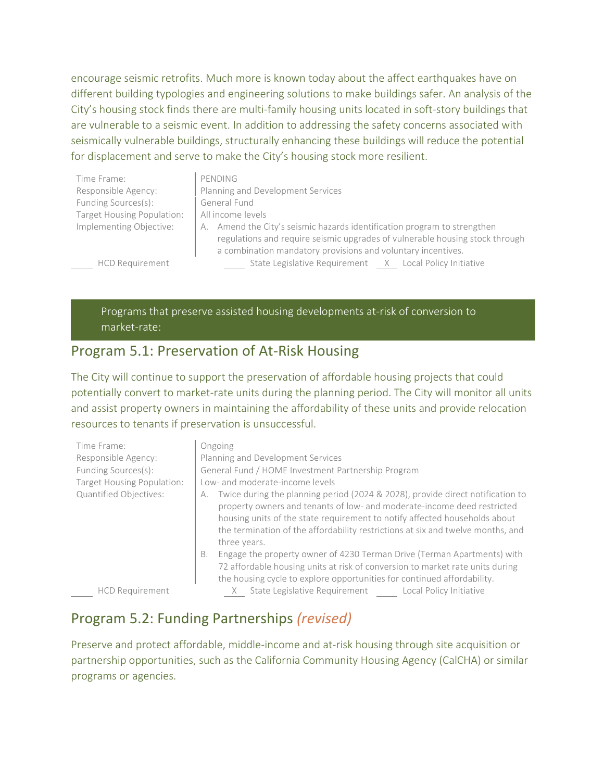encourage seismic retrofits. Much more is known today about the affect earthquakes have on different building typologies and engineering solutions to make buildings safer. An analysis of the City's housing stock finds there are multi-family housing units located in soft-story buildings that are vulnerable to a seismic event. In addition to addressing the safety concerns associated with seismically vulnerable buildings, structurally enhancing these buildings will reduce the potential for displacement and serve to make the City's housing stock more resilient.

| Time Frame:                | PENDING                                                                      |  |  |
|----------------------------|------------------------------------------------------------------------------|--|--|
| Responsible Agency:        | Planning and Development Services                                            |  |  |
| Funding Sources(s):        | General Fund                                                                 |  |  |
| Target Housing Population: | All income levels                                                            |  |  |
| Implementing Objective:    | A. Amend the City's seismic hazards identification program to strengthen     |  |  |
|                            | regulations and require seismic upgrades of vulnerable housing stock through |  |  |
|                            | a combination mandatory provisions and voluntary incentives.                 |  |  |
| <b>HCD Requirement</b>     | State Legislative Requirement X Local Policy Initiative                      |  |  |

Programs that preserve assisted housing developments at-risk of conversion to market-rate:

#### Program 5.1: Preservation of At-Risk Housing

The City will continue to support the preservation of affordable housing projects that could potentially convert to market-rate units during the planning period. The City will monitor all units and assist property owners in maintaining the affordability of these units and provide relocation resources to tenants if preservation is unsuccessful.

| Time Frame:<br>Responsible Agency:<br>Funding Sources(s):<br>Target Housing Population:<br>Quantified Objectives: | Ongoing<br>Planning and Development Services<br>General Fund / HOME Investment Partnership Program<br>Low- and moderate-income levels<br>Twice during the planning period (2024 & 2028), provide direct notification to<br>А.<br>property owners and tenants of low- and moderate-income deed restricted<br>housing units of the state requirement to notify affected households about<br>the termination of the affordability restrictions at six and twelve months, and<br>three years. |
|-------------------------------------------------------------------------------------------------------------------|-------------------------------------------------------------------------------------------------------------------------------------------------------------------------------------------------------------------------------------------------------------------------------------------------------------------------------------------------------------------------------------------------------------------------------------------------------------------------------------------|
|                                                                                                                   | Engage the property owner of 4230 Terman Drive (Terman Apartments) with<br>B.<br>72 affordable housing units at risk of conversion to market rate units during<br>the housing cycle to explore opportunities for continued affordability.                                                                                                                                                                                                                                                 |
| <b>HCD Requirement</b>                                                                                            | State Legislative Requirement<br>Local Policy Initiative                                                                                                                                                                                                                                                                                                                                                                                                                                  |

#### Program 5.2: Funding Partnerships *(revised)*

Preserve and protect affordable, middle-income and at-risk housing through site acquisition or partnership opportunities, such as the California Community Housing Agency (CalCHA) or similar programs or agencies.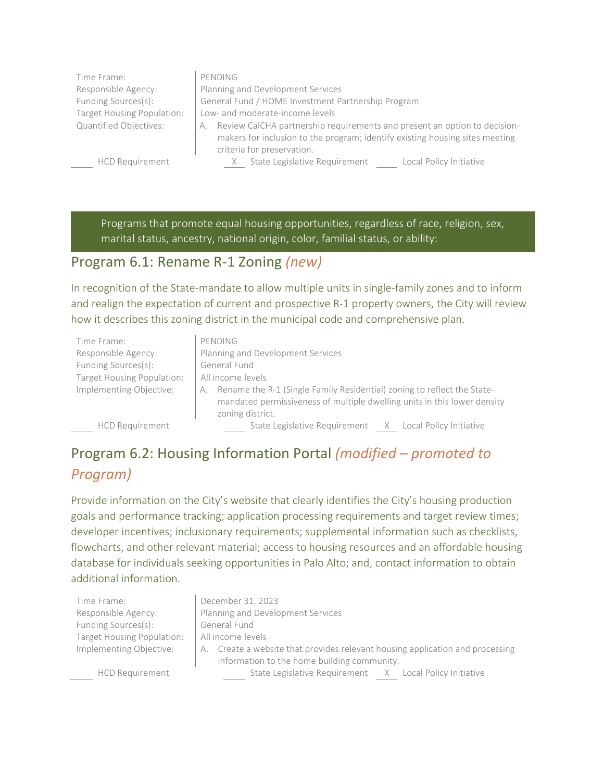| Time Frame:                | PENDING                                                                                                                                                         |  |  |
|----------------------------|-----------------------------------------------------------------------------------------------------------------------------------------------------------------|--|--|
| Responsible Agency:        | Planning and Development Services                                                                                                                               |  |  |
| Funding Sources(s):        | General Fund / HOME Investment Partnership Program                                                                                                              |  |  |
| Target Housing Population: | Low- and moderate-income levels                                                                                                                                 |  |  |
| Quantified Objectives:     | Review CalCHA partnership requirements and present an option to decision-<br>А.<br>makers for inclusion to the program; identify existing housing sites meeting |  |  |
|                            |                                                                                                                                                                 |  |  |
|                            | criteria for preservation.                                                                                                                                      |  |  |
| <b>HCD Requirement</b>     | State Legislative Requirement<br>Local Policy Initiative                                                                                                        |  |  |

Programs that promote equal housing opportunities, regardless of race, religion, sex, marital status, ancestry, national origin, color, familial status, or ability:

#### Program 6.1: Rename R-1 Zoning *(new)*

In recognition of the State-mandate to allow multiple units in single-family zones and to inform and realign the expectation of current and prospective R-1 property owners, the City will review how it describes this zoning district in the municipal code and comprehensive plan.

| Time Frame:                | PENDING                                                                                                                                                                       |  |  |
|----------------------------|-------------------------------------------------------------------------------------------------------------------------------------------------------------------------------|--|--|
| Responsible Agency:        | Planning and Development Services                                                                                                                                             |  |  |
| Funding Sources(s):        | General Fund                                                                                                                                                                  |  |  |
| Target Housing Population: | All income levels                                                                                                                                                             |  |  |
| Implementing Objective:    | Rename the R-1 (Single Family Residential) zoning to reflect the State-<br>А.<br>mandated permissiveness of multiple dwelling units in this lower density<br>zoning district. |  |  |
| <b>HCD Requirement</b>     | State Legislative Requirement X Local Policy Initiative                                                                                                                       |  |  |

Program 6.2: Housing Information Portal *(modified – promoted to* 

#### *Program)*

Provide information on the City's website that clearly identifies the City's housing production goals and performance tracking; application processing requirements and target review times; developer incentives; inclusionary requirements; supplemental information such as checklists, flowcharts, and other relevant material; access to housing resources and an affordable housing database for individuals seeking opportunities in Palo Alto; and, contact information to obtain additional information.

Time Frame: **December 31, 2023** Funding Sources(s): General Fund Target Housing Population: | All income levels

Responsible Agency: Planning and Development Services

HCD Requirement

| Implementing Objective: | A. Create a website that provides relevant housing application and processing |  |
|-------------------------|-------------------------------------------------------------------------------|--|
|                         | information to the home building community.                                   |  |
| HCD Requirement         | State Legislative Requirement X Local Policy Initiative                       |  |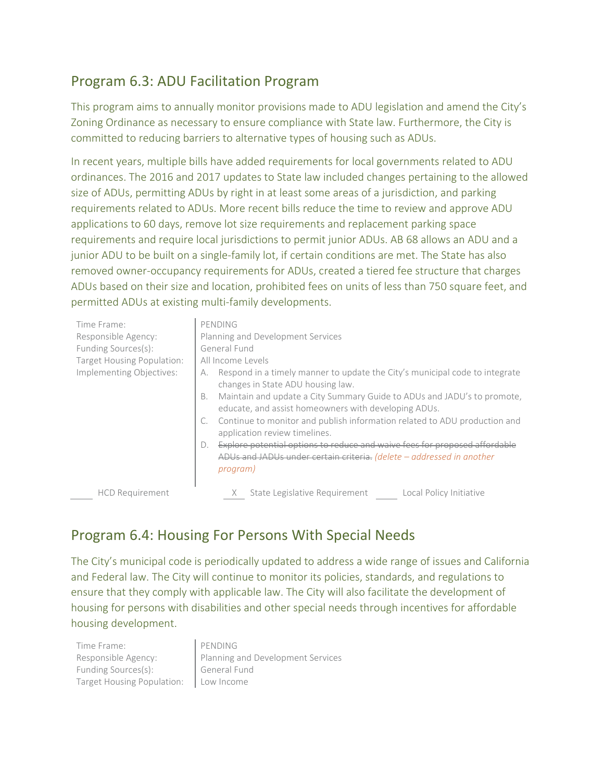#### Program 6.3: ADU Facilitation Program

This program aims to annually monitor provisions made to ADU legislation and amend the City's Zoning Ordinance as necessary to ensure compliance with State law. Furthermore, the City is committed to reducing barriers to alternative types of housing such as ADUs.

In recent years, multiple bills have added requirements for local governments related to ADU ordinances. The 2016 and 2017 updates to State law included changes pertaining to the allowed size of ADUs, permitting ADUs by right in at least some areas of a jurisdiction, and parking requirements related to ADUs. More recent bills reduce the time to review and approve ADU applications to 60 days, remove lot size requirements and replacement parking space requirements and require local jurisdictions to permit junior ADUs. AB 68 allows an ADU and a junior ADU to be built on a single-family lot, if certain conditions are met. The State has also removed owner-occupancy requirements for ADUs, created a tiered fee structure that charges ADUs based on their size and location, prohibited fees on units of less than 750 square feet, and permitted ADUs at existing multi-family developments.

| Time Frame:<br>Responsible Agency:<br>Funding Sources(s):<br>Target Housing Population:<br>Implementing Objectives: | PENDING<br>Planning and Development Services<br>General Fund<br>All Income Levels<br>Respond in a timely manner to update the City's municipal code to integrate<br>А.<br>changes in State ADU housing law.<br>Maintain and update a City Summary Guide to ADUs and JADU's to promote,<br>В.<br>educate, and assist homeowners with developing ADUs.<br>Continue to monitor and publish information related to ADU production and<br>application review timelines.<br>Explore potential options to reduce and waive fees for proposed affordable<br>$D$ .<br>ADUs and JADUs under certain criteria. (delete - addressed in another<br>program) |
|---------------------------------------------------------------------------------------------------------------------|------------------------------------------------------------------------------------------------------------------------------------------------------------------------------------------------------------------------------------------------------------------------------------------------------------------------------------------------------------------------------------------------------------------------------------------------------------------------------------------------------------------------------------------------------------------------------------------------------------------------------------------------|
| <b>HCD Requirement</b>                                                                                              | State Legislative Requirement<br>Local Policy Initiative                                                                                                                                                                                                                                                                                                                                                                                                                                                                                                                                                                                       |

#### Program 6.4: Housing For Persons With Special Needs

The City's municipal code is periodically updated to address a wide range of issues and California and Federal law. The City will continue to monitor its policies, standards, and regulations to ensure that they comply with applicable law. The City will also facilitate the development of housing for persons with disabilities and other special needs through incentives for affordable housing development.

| Time Frame:                             | PENDING                           |
|-----------------------------------------|-----------------------------------|
| Responsible Agency:                     | Planning and Development Services |
| Funding Sources(s):                     | General Fund                      |
| Target Housing Population:   Low Income |                                   |
|                                         |                                   |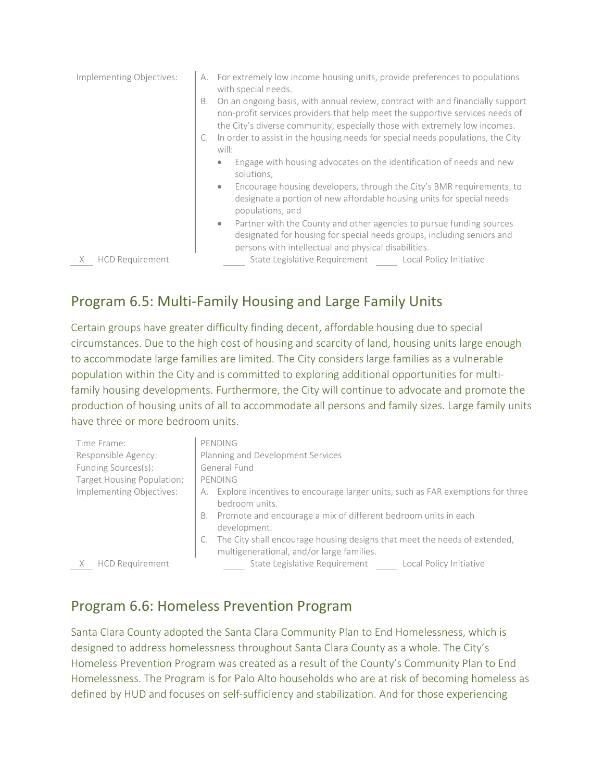| Implementing Objectives:    | For extremely low income housing units, provide preferences to populations<br>А.<br>with special needs.                                                                                                                                             |
|-----------------------------|-----------------------------------------------------------------------------------------------------------------------------------------------------------------------------------------------------------------------------------------------------|
|                             | On an ongoing basis, with annual review, contract with and financially support<br>В.<br>non-profit services providers that help meet the supportive services needs of<br>the City's diverse community, especially those with extremely low incomes. |
|                             | In order to assist in the housing needs for special needs populations, the City<br>will:                                                                                                                                                            |
|                             | Engage with housing advocates on the identification of needs and new<br>۰<br>solutions,                                                                                                                                                             |
|                             | Encourage housing developers, through the City's BMR requirements, to<br>۰<br>designate a portion of new affordable housing units for special needs<br>populations, and                                                                             |
|                             | Partner with the County and other agencies to pursue funding sources<br>$\bullet$<br>designated for housing for special needs groups, including seniors and<br>persons with intellectual and physical disabilities.                                 |
| <b>HCD Requirement</b><br>X | State Legislative Requirement<br>Local Policy Initiative                                                                                                                                                                                            |

#### Program 6.5: Multi-Family Housing and Large Family Units

Certain groups have greater difficulty finding decent, affordable housing due to special circumstances. Due to the high cost of housing and scarcity of land, housing units large enough to accommodate large families are limited. The City considers large families as a vulnerable population within the City and is committed to exploring additional opportunities for multifamily housing developments. Furthermore, the City will continue to advocate and promote the production of housing units of all to accommodate all persons and family sizes. Large family units have three or more bedroom units.

| Time Frame:                | PENDING                                                                                                                |
|----------------------------|------------------------------------------------------------------------------------------------------------------------|
| Responsible Agency:        | Planning and Development Services                                                                                      |
| Funding Sources(s):        | General Fund                                                                                                           |
| Target Housing Population: | PENDING                                                                                                                |
| Implementing Objectives:   | Explore incentives to encourage larger units, such as FAR exemptions for three<br>А.<br>bedroom units.                 |
|                            | Promote and encourage a mix of different bedroom units in each<br>B.<br>development.                                   |
|                            | The City shall encourage housing designs that meet the needs of extended,<br>multigenerational, and/or large families. |
| <b>HCD Requirement</b>     | State Legislative Requirement<br>Local Policy Initiative                                                               |

#### Program 6.6: Homeless Prevention Program

Santa Clara County adopted the Santa Clara Community Plan to End Homelessness, which is designed to address homelessness throughout Santa Clara County as a whole. The City's Homeless Prevention Program was created as a result of the County's Community Plan to End Homelessness. The Program is for Palo Alto households who are at risk of becoming homeless as defined by HUD and focuses on self-sufficiency and stabilization. And for those experiencing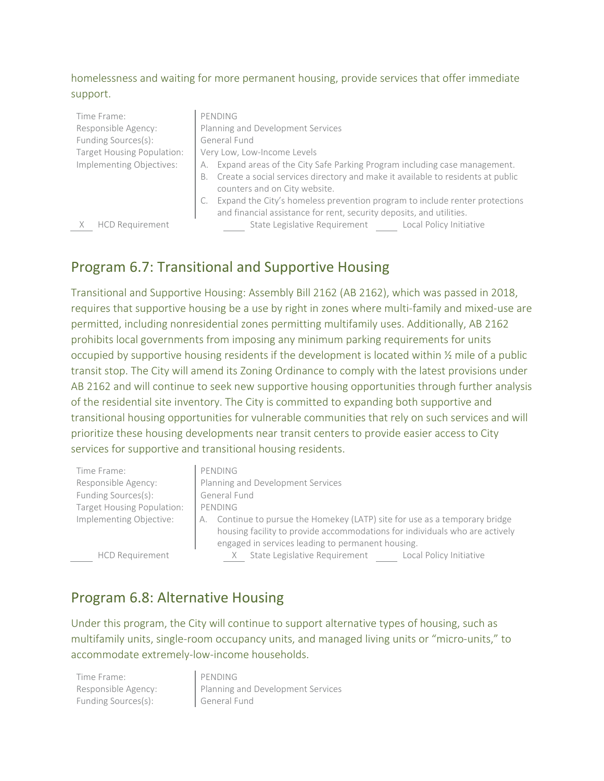#### homelessness and waiting for more permanent housing, provide services that offer immediate support.

| Time Frame:                | PENDING                                                                               |
|----------------------------|---------------------------------------------------------------------------------------|
| Responsible Agency:        | Planning and Development Services                                                     |
| Funding Sources(s):        | General Fund                                                                          |
| Target Housing Population: | Very Low, Low-Income Levels                                                           |
| Implementing Objectives:   | Expand areas of the City Safe Parking Program including case management.<br>А.        |
|                            | Create a social services directory and make it available to residents at public<br>В. |
|                            | counters and on City website.                                                         |
|                            | Expand the City's homeless prevention program to include renter protections           |
|                            | and financial assistance for rent, security deposits, and utilities.                  |
| <b>HCD Requirement</b>     | State Legislative Requirement<br>Local Policy Initiative                              |

#### Program 6.7: Transitional and Supportive Housing

Transitional and Supportive Housing: Assembly Bill 2162 (AB 2162), which was passed in 2018, requires that supportive housing be a use by right in zones where multi-family and mixed-use are permitted, including nonresidential zones permitting multifamily uses. Additionally, AB 2162 prohibits local governments from imposing any minimum parking requirements for units occupied by supportive housing residents if the development is located within ½ mile of a public transit stop. The City will amend its Zoning Ordinance to comply with the latest provisions under AB 2162 and will continue to seek new supportive housing opportunities through further analysis of the residential site inventory. The City is committed to expanding both supportive and transitional housing opportunities for vulnerable communities that rely on such services and will prioritize these housing developments near transit centers to provide easier access to City services for supportive and transitional housing residents.

| Time Frame:                | PENDING                                                                        |
|----------------------------|--------------------------------------------------------------------------------|
| Responsible Agency:        | Planning and Development Services                                              |
| Funding Sources(s):        | General Fund                                                                   |
| Target Housing Population: | PENDING                                                                        |
| Implementing Objective:    | Continue to pursue the Homekey (LATP) site for use as a temporary bridge<br>А. |
|                            | housing facility to provide accommodations for individuals who are actively    |
|                            | engaged in services leading to permanent housing.                              |

HCD Requirement

#### Program 6.8: Alternative Housing

Under this program, the City will continue to support alternative types of housing, such as multifamily units, single-room occupancy units, and managed living units or "micro-units," to accommodate extremely-low-income households.

Time Frame: PENDING Funding Sources(s): General Fund

Responsible Agency: <br> Planning and Development Services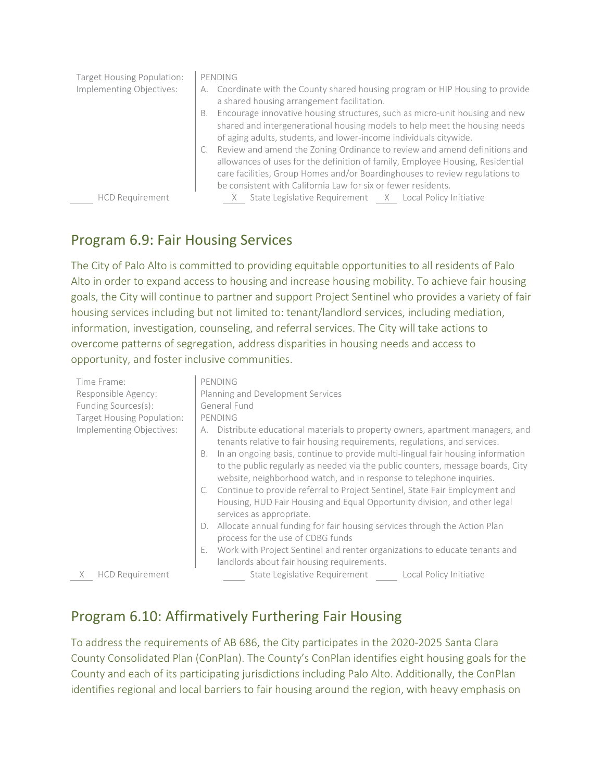| Target Housing Population: | PENDING                                                                                                                                                                                                                                                                                                        |
|----------------------------|----------------------------------------------------------------------------------------------------------------------------------------------------------------------------------------------------------------------------------------------------------------------------------------------------------------|
| Implementing Objectives:   | Coordinate with the County shared housing program or HIP Housing to provide<br>a shared housing arrangement facilitation.                                                                                                                                                                                      |
|                            | Encourage innovative housing structures, such as micro-unit housing and new<br>В.<br>shared and intergenerational housing models to help meet the housing needs<br>of aging adults, students, and lower-income individuals citywide.                                                                           |
|                            | C. Review and amend the Zoning Ordinance to review and amend definitions and<br>allowances of uses for the definition of family, Employee Housing, Residential<br>care facilities, Group Homes and/or Boardinghouses to review regulations to<br>be consistent with California Law for six or fewer residents. |
| <b>HCD Requirement</b>     | State Legislative Requirement X Local Policy Initiative                                                                                                                                                                                                                                                        |

#### Program 6.9: Fair Housing Services

The City of Palo Alto is committed to providing equitable opportunities to all residents of Palo Alto in order to expand access to housing and increase housing mobility. To achieve fair housing goals, the City will continue to partner and support Project Sentinel who provides a variety of fair housing services including but not limited to: tenant/landlord services, including mediation, information, investigation, counseling, and referral services. The City will take actions to overcome patterns of segregation, address disparities in housing needs and access to opportunity, and foster inclusive communities.

| Time Frame:<br>Responsible Agency:<br>Funding Sources(s): | PENDING<br>Planning and Development Services<br>General Fund                                                                                                                                                                                  |
|-----------------------------------------------------------|-----------------------------------------------------------------------------------------------------------------------------------------------------------------------------------------------------------------------------------------------|
| Target Housing Population:                                | PENDING                                                                                                                                                                                                                                       |
| Implementing Objectives:                                  | Distribute educational materials to property owners, apartment managers, and<br>А.<br>tenants relative to fair housing requirements, regulations, and services.                                                                               |
|                                                           | B. In an ongoing basis, continue to provide multi-lingual fair housing information<br>to the public regularly as needed via the public counters, message boards, City<br>website, neighborhood watch, and in response to telephone inquiries. |
|                                                           | C. Continue to provide referral to Project Sentinel, State Fair Employment and<br>Housing, HUD Fair Housing and Equal Opportunity division, and other legal<br>services as appropriate.                                                       |
|                                                           | Allocate annual funding for fair housing services through the Action Plan<br>D.<br>process for the use of CDBG funds                                                                                                                          |
|                                                           | Work with Project Sentinel and renter organizations to educate tenants and<br>Ε.<br>landlords about fair housing requirements.                                                                                                                |
| <b>HCD Requirement</b>                                    | State Legislative Requirement Local Policy Initiative                                                                                                                                                                                         |

#### Program 6.10: Affirmatively Furthering Fair Housing

To address the requirements of AB 686, the City participates in the 2020-2025 Santa Clara County Consolidated Plan (ConPlan). The County's ConPlan identifies eight housing goals for the County and each of its participating jurisdictions including Palo Alto. Additionally, the ConPlan identifies regional and local barriers to fair housing around the region, with heavy emphasis on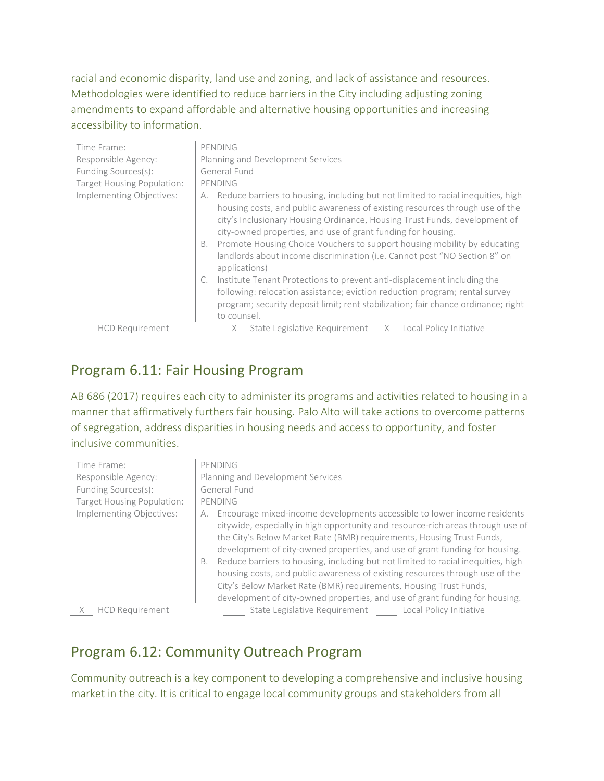racial and economic disparity, land use and zoning, and lack of assistance and resources. Methodologies were identified to reduce barriers in the City including adjusting zoning amendments to expand affordable and alternative housing opportunities and increasing accessibility to information.

| Time Frame:                | PENDING                                                                                                                                                                                                                                                                                                                                                                                                                                                                                              |
|----------------------------|------------------------------------------------------------------------------------------------------------------------------------------------------------------------------------------------------------------------------------------------------------------------------------------------------------------------------------------------------------------------------------------------------------------------------------------------------------------------------------------------------|
| Responsible Agency:        | Planning and Development Services                                                                                                                                                                                                                                                                                                                                                                                                                                                                    |
| Funding Sources(s):        | General Fund                                                                                                                                                                                                                                                                                                                                                                                                                                                                                         |
| Target Housing Population: | PENDING                                                                                                                                                                                                                                                                                                                                                                                                                                                                                              |
| Implementing Objectives:   | Reduce barriers to housing, including but not limited to racial inequities, high<br>А.<br>housing costs, and public awareness of existing resources through use of the<br>city's Inclusionary Housing Ordinance, Housing Trust Funds, development of<br>city-owned properties, and use of grant funding for housing.<br>Promote Housing Choice Vouchers to support housing mobility by educating<br>В.<br>landlords about income discrimination (i.e. Cannot post "NO Section 8" on<br>applications) |
|                            | Institute Tenant Protections to prevent anti-displacement including the<br>following: relocation assistance; eviction reduction program; rental survey<br>program; security deposit limit; rent stabilization; fair chance ordinance; right<br>to counsel.                                                                                                                                                                                                                                           |
| <b>HCD Requirement</b>     | State Legislative Requirement X Local Policy Initiative<br>X.                                                                                                                                                                                                                                                                                                                                                                                                                                        |

#### Program 6.11: Fair Housing Program

AB 686 (2017) requires each city to administer its programs and activities related to housing in a manner that affirmatively furthers fair housing. Palo Alto will take actions to overcome patterns of segregation, address disparities in housing needs and access to opportunity, and foster inclusive communities.

| Time Frame:                | PENDING                                                                                                                                                                                                                                                                                                                                                                                                                                                                                                                                                                                                                                                 |
|----------------------------|---------------------------------------------------------------------------------------------------------------------------------------------------------------------------------------------------------------------------------------------------------------------------------------------------------------------------------------------------------------------------------------------------------------------------------------------------------------------------------------------------------------------------------------------------------------------------------------------------------------------------------------------------------|
| Responsible Agency:        | Planning and Development Services                                                                                                                                                                                                                                                                                                                                                                                                                                                                                                                                                                                                                       |
| Funding Sources(s):        | General Fund                                                                                                                                                                                                                                                                                                                                                                                                                                                                                                                                                                                                                                            |
| Target Housing Population: | PENDING                                                                                                                                                                                                                                                                                                                                                                                                                                                                                                                                                                                                                                                 |
| Implementing Objectives:   | Encourage mixed-income developments accessible to lower income residents<br>А.<br>citywide, especially in high opportunity and resource-rich areas through use of<br>the City's Below Market Rate (BMR) requirements, Housing Trust Funds,<br>development of city-owned properties, and use of grant funding for housing.<br>Reduce barriers to housing, including but not limited to racial inequities, high<br>В.<br>housing costs, and public awareness of existing resources through use of the<br>City's Below Market Rate (BMR) requirements, Housing Trust Funds,<br>development of city-owned properties, and use of grant funding for housing. |
| <b>HCD Requirement</b>     | State Legislative Requirement<br>Local Policy Initiative                                                                                                                                                                                                                                                                                                                                                                                                                                                                                                                                                                                                |

## Program 6.12: Community Outreach Program

Community outreach is a key component to developing a comprehensive and inclusive housing market in the city. It is critical to engage local community groups and stakeholders from all